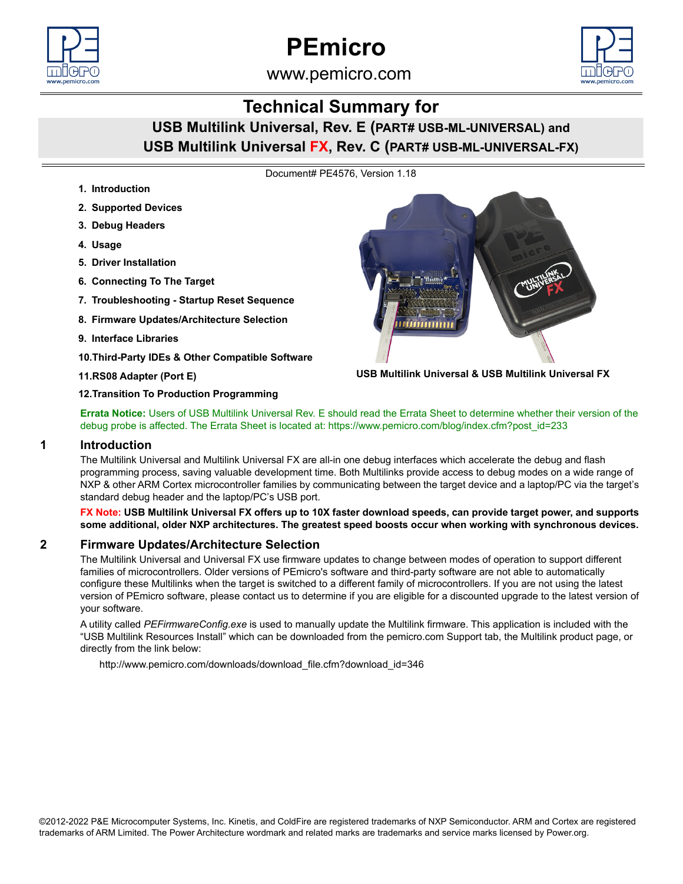



# www.pemicro.com

# **Technical Summary for**

# **USB Multilink Universal, Rev. E (PART# USB-ML-UNIVERSAL) and USB Multilink Universal FX, Rev. C (PART# USB-ML-UNIVERSAL-FX)**

Document# PE4576, Version 1.18

- **1. Introduction**
- **2. Supported Devices**
- **3. Debug Headers**
- **4. Usage**
- **5. Driver Installation**
- **6. Connecting To The Target**
- **7. Troubleshooting Startup Reset Sequence**
- **8. Firmware Updates/Architecture Selection**
- **9. Interface Libraries**
- **10.Third-Party IDEs & Other Compatible Software**

#### **11.RS08 Adapter (Port E)**



**USB Multilink Universal & USB Multilink Universal FX**

**12.Transition To Production Programming**

**Errata Notice:** [Users of USB Multilink Universal Rev. E should read the Errata Sheet to determine whether their version of the](https://www.pemicro.com/blog/index.cfm?post_id=233)  [debug probe is affected. The Errata Sheet is located at: https://www.pemicro.com/blog/index.cfm?post\\_id=233](https://www.pemicro.com/blog/index.cfm?post_id=233)

#### **1 Introduction**

The Multilink Universal and Multilink Universal FX are all-in one debug interfaces which accelerate the debug and flash programming process, saving valuable development time. Both Multilinks provide access to debug modes on a wide range of NXP & other ARM Cortex microcontroller families by communicating between the target device and a laptop/PC via the target's standard debug header and the laptop/PC's USB port.

**FX Note: USB Multilink Universal FX offers up to 10X faster download speeds, can provide target power, and supports some additional, older NXP architectures. The greatest speed boosts occur when working with synchronous devices.**

# **2 Firmware Updates/Architecture Selection**

The Multilink Universal and Universal FX use firmware updates to change between modes of operation to support different families of microcontrollers. Older versions of PEmicro's software and third-party software are not able to automatically configure these Multilinks when the target is switched to a different family of microcontrollers. If you are not using the latest version of PEmicro software, please contact us to determine if you are eligible for a discounted upgrade to the latest version of your software.

A utility called *PEFirmwareConfig.exe* is used to manually update the Multilink firmware. This application is included with the "USB Multilink Resources Install" which can be downloaded from the pemicro.com Support tab, the Multilink product page, or directly from the link below:

[http://www.pemicro.com/downloads/download\\_file.cfm?download\\_id=346](http://www.pemicro.com/downloads/download_file.cfm?download_id=346)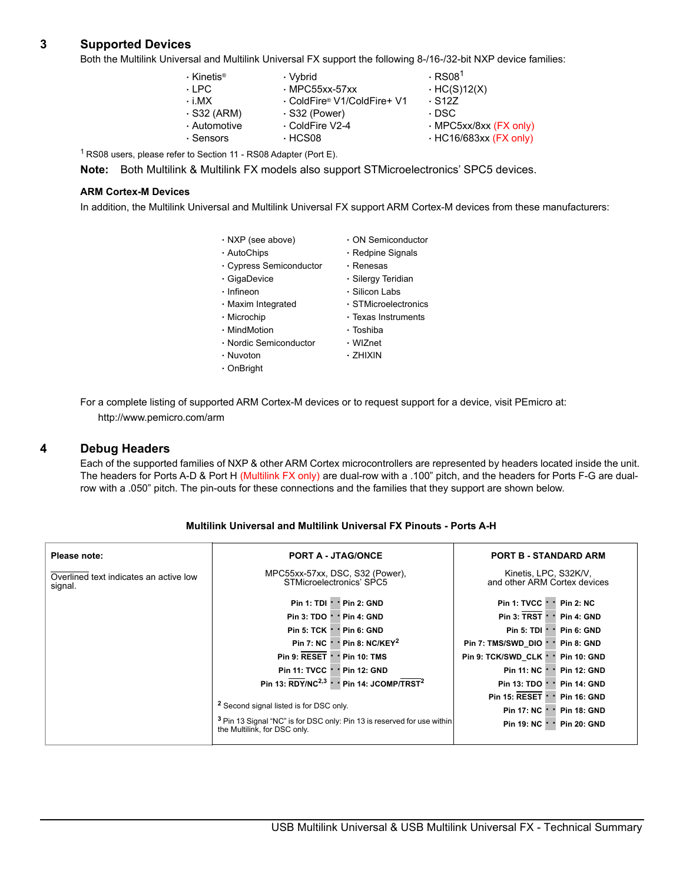# **3 Supported Devices**

Both the Multilink Universal and Multilink Universal FX support the following 8-/16-/32-bit NXP device families:

| $\cdot$ Kinetis®<br>$\cdot$ I PC.<br>$\cdot$ i MX<br>$\cdot$ S32 (ARM)<br>· Automotive | · Vybrid<br>$\cdot$ MPC55xx-57xx<br>. ColdFire® V1/ColdFire+ V1<br>$\cdot$ S32 (Power)<br>⋅ ColdFire V2-4 | $\cdot$ RS08 <sup>1</sup><br>$·$ HC(S)12(X)<br>$\cdot$ S <sub>127</sub><br>· DSC<br>· MPC5xx/8xx (FX only) |
|----------------------------------------------------------------------------------------|-----------------------------------------------------------------------------------------------------------|------------------------------------------------------------------------------------------------------------|
| $\cdot$ Sensors                                                                        | $·$ HCS08                                                                                                 | $\cdot$ HC16/683xx (FX only)                                                                               |
|                                                                                        |                                                                                                           |                                                                                                            |

1 RS08 users, please refer to Section 11 - RS08 Adapter (Port E).

**Note:** Both Multilink & Multilink FX models also support STMicroelectronics' SPC5 devices.

#### **ARM Cortex-M Devices**

In addition, the Multilink Universal and Multilink Universal FX support ARM Cortex-M devices from these manufacturers:

| · NXP (see above)       | $\cdot$ ON Semiconductor  |
|-------------------------|---------------------------|
| ⋅ AutoChips             | $\cdot$ Redpine Signals   |
| · Cypress Semiconductor | • Renesas                 |
| ⋅ GigaDevice            | ⋅ Silergy Teridian        |
| $\cdot$ Infineon        | ⋅ Silicon Labs            |
| · Maxim Integrated      | · STMicroelectronics      |
| • Microchip             | $\cdot$ Texas Instruments |
| • MindMotion            | ∙ Toshiba                 |
| · Nordic Semiconductor  | ⋅ WIZnet                  |
| • Nuvoton               | · ZHIXIN                  |
| $\cdot$ OnBright        |                           |
|                         |                           |

For a complete listing of supported ARM Cortex-M devices or to request support for a device, visit PEmicro at: <http://www.pemicro.com/arm>

#### **4 Debug Headers**

Each of the supported families of NXP & other ARM Cortex microcontrollers are represented by headers located inside the unit. The headers for Ports A-D & Port H (Multilink FX only) are dual-row with a .100" pitch, and the headers for Ports F-G are dualrow with a .050" pitch. The pin-outs for these connections and the families that they support are shown below.

| Please note:                                      | <b>PORT A - JTAG/ONCE</b>                                                                                          | <b>PORT B - STANDARD ARM</b>                          |
|---------------------------------------------------|--------------------------------------------------------------------------------------------------------------------|-------------------------------------------------------|
| Overlined text indicates an active low<br>signal. | MPC55xx-57xx, DSC, S32 (Power),<br>STMicroelectronics' SPC5                                                        | Kinetis, LPC, S32K/V,<br>and other ARM Cortex devices |
|                                                   | $Pin 1: TDI \cdot Pin 2: GND$                                                                                      | Pin 1: TVCC $\cdot$ $\cdot$<br><b>Pin 2: NC</b>       |
|                                                   | Pin 3: TDO <sup>+</sup><br><b>Pin 4: GND</b>                                                                       | Pin 3: TRST<br>Pin 4: GND                             |
|                                                   | <b>Pin 5: TCK +</b><br>* Pin 6: GND                                                                                | Pin 5: TDI $\vdash$<br>Pin 6: GND                     |
|                                                   | $\cdot$ Pin 8: NC/KEY <sup>2</sup><br><b>Pin 7: NC</b>                                                             | Pin 7: TMS/SWD DIO<br>Pin 8: GND                      |
|                                                   | Pin 9: RESET '<br>$\cdot$ Pin 10: TMS                                                                              | Pin 9: TCK/SWD CLK *<br><b>Pin 10: GND</b>            |
|                                                   | Pin 11: TVCC ·<br>* Pin 12: GND                                                                                    | <b>Pin 11: NC +</b><br><b>Pin 12: GND</b>             |
|                                                   | Pin 13: RDY/NC <sup>2,3</sup> ·<br>Pin 14: JCOMP/TRST <sup>2</sup>                                                 | Pin 13: TDO *<br><b>Pin 14: GND</b>                   |
|                                                   |                                                                                                                    | Pin 15: RESET 1<br><b>Pin 16: GND</b>                 |
|                                                   | <sup>2</sup> Second signal listed is for DSC only.                                                                 | <b>Pin 17: NC +</b><br><b>Pin 18: GND</b>             |
|                                                   | <sup>3</sup> Pin 13 Signal "NC" is for DSC only: Pin 13 is reserved for use within<br>the Multilink, for DSC only. | <b>Pin 20: GND</b><br>Pin 19: NC +                    |

#### **Multilink Universal and Multilink Universal FX Pinouts - Ports A-H**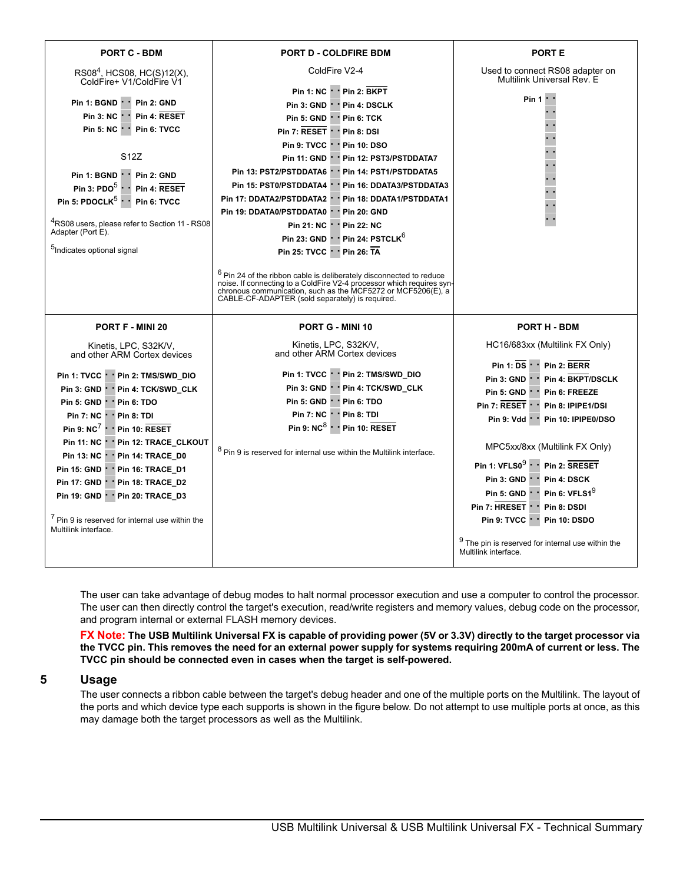| <b>PORT D - COLDFIRE BDM</b>                                                                                                                                                                                                                                                                                                                                                                                                                                                                                                                                                                                                                                                                                                                                                                       | <b>PORT E</b>                                                                                                                                                                                                                                                                                                                                                                                                                                                                                                |
|----------------------------------------------------------------------------------------------------------------------------------------------------------------------------------------------------------------------------------------------------------------------------------------------------------------------------------------------------------------------------------------------------------------------------------------------------------------------------------------------------------------------------------------------------------------------------------------------------------------------------------------------------------------------------------------------------------------------------------------------------------------------------------------------------|--------------------------------------------------------------------------------------------------------------------------------------------------------------------------------------------------------------------------------------------------------------------------------------------------------------------------------------------------------------------------------------------------------------------------------------------------------------------------------------------------------------|
| ColdFire V2-4                                                                                                                                                                                                                                                                                                                                                                                                                                                                                                                                                                                                                                                                                                                                                                                      | Used to connect RS08 adapter on<br>Multilink Universal Rev. E                                                                                                                                                                                                                                                                                                                                                                                                                                                |
| Pin 1: NC · · Pin 2: BKPT<br>Pin 3: GND ' ' Pin 4: DSCLK<br>Pin 5: GND * * Pin 6: TCK<br>Pin 7: RESET     Pin 8: DSI<br>Pin 9: TVCC + + Pin 10: DSO<br>Pin 11: GND       Pin 12: PST3/PSTDDATA7<br>Pin 13: PST2/PSTDDATA6 '<br>* Pin 14: PST1/PSTDDATA5<br>Pin 15: PST0/PSTDDATA4     Pin 16: DDATA3/PSTDDATA3<br>Pin 17: DDATA2/PSTDDATA2   ' Pin 18: DDATA1/PSTDDATA1<br>Pin 19: DDATA0/PSTDDATA0 · · Pin 20: GND<br>Pin 21: NC +<br>* Pin 22: NC<br>Pin 23: GND Pin 24: PSTCLK <sup>6</sup><br>Pin 25: TVCC · · Pin 26: TA<br>$6$ Pin 24 of the ribbon cable is deliberately disconnected to reduce<br>noise. If connecting to a ColdFire V2-4 processor which requires syn-<br>chronous communication, such as the MCF5272 or MCF5206(E), a<br>CABLE-CF-ADAPTER (sold separately) is required. | Pin 1                                                                                                                                                                                                                                                                                                                                                                                                                                                                                                        |
| PORT G - MINI 10                                                                                                                                                                                                                                                                                                                                                                                                                                                                                                                                                                                                                                                                                                                                                                                   | PORT H - BDM                                                                                                                                                                                                                                                                                                                                                                                                                                                                                                 |
| Kinetis, LPC, S32K/V,<br>and other ARM Cortex devices                                                                                                                                                                                                                                                                                                                                                                                                                                                                                                                                                                                                                                                                                                                                              | HC16/683xx (Multilink FX Only)                                                                                                                                                                                                                                                                                                                                                                                                                                                                               |
| Pin 1: TVCC · · Pin 2: TMS/SWD_DIO<br>Pin 3: GND ' ' Pin 4: TCK/SWD_CLK<br>Pin 5: GND ' ' Pin 6: TDO<br>Pin 7: NC Pin 8: TDI<br>Pin 9: $NC^8$ · · Pin 10: RESET<br>$8$ Pin 9 is reserved for internal use within the Multilink interface.                                                                                                                                                                                                                                                                                                                                                                                                                                                                                                                                                          | Pin 1: $DS \cdot P$ in 2: BERR<br>Pin 3: GND $\cdot$ $\cdot$<br><b>Pin 4: BKPT/DSCLK</b><br>Pin 5: GND $\cdot$<br>Pin 6: FREEZE<br>Pin 7: RESET ' ' Pin 8: IPIPE1/DSI<br>Pin 9: Vdd · · Pin 10: IPIPE0/DSO<br>MPC5xx/8xx (Multilink FX Only)<br>Pin 1: VFLS0 <sup>9</sup> · · Pin 2: SRESET<br>Pin 3: GND · ·<br>Pin 4: DSCK<br>Pin 5: GND $\cdot$ $\cdot$ Pin 6: VFLS1 <sup>9</sup><br>Pin 7: HRESET ' ' Pin 8: DSDI<br>Pin 9: TVCC ' ' Pin 10: DSDO<br>$9$ The pin is reserved for internal use within the |
| $^4$ RS08 users, please refer to Section 11 - RS08                                                                                                                                                                                                                                                                                                                                                                                                                                                                                                                                                                                                                                                                                                                                                 |                                                                                                                                                                                                                                                                                                                                                                                                                                                                                                              |

The user can take advantage of debug modes to halt normal processor execution and use a computer to control the processor. The user can then directly control the target's execution, read/write registers and memory values, debug code on the processor, and program internal or external FLASH memory devices.

**FX Note: The USB Multilink Universal FX is capable of providing power (5V or 3.3V) directly to the target processor via the TVCC pin. This removes the need for an external power supply for systems requiring 200mA of current or less. The TVCC pin should be connected even in cases when the target is self-powered.**

#### **5 Usage**

The user connects a ribbon cable between the target's debug header and one of the multiple ports on the Multilink. The layout of the ports and which device type each supports is shown in the figure below. Do not attempt to use multiple ports at once, as this may damage both the target processors as well as the Multilink.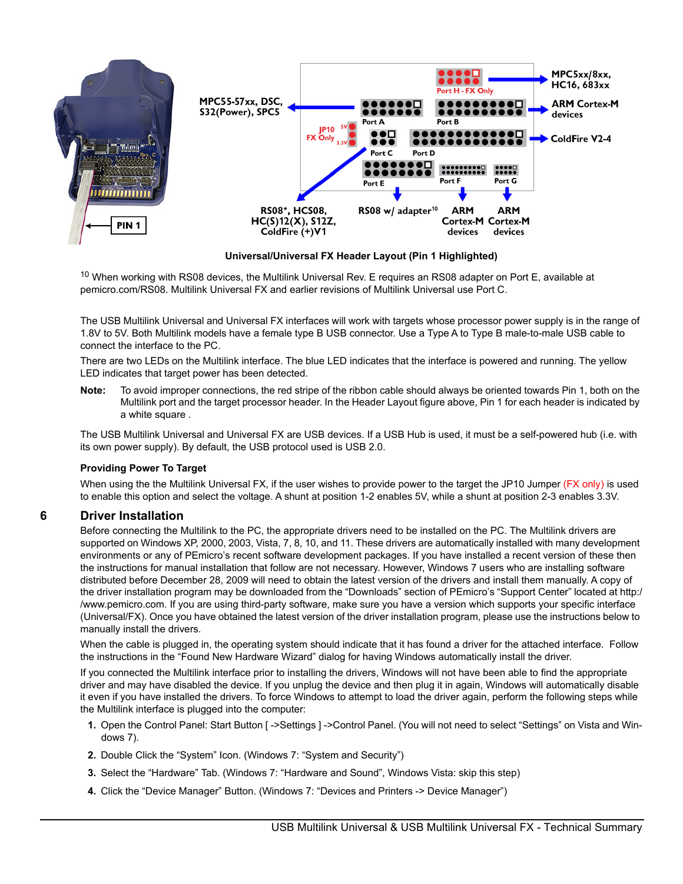

**Universal/Universal FX Header Layout (Pin 1 Highlighted)**

 $10$  When working with RS08 devices, the Multilink Universal Rev. E requires an RS08 adapter on Port E, available at [pemicro.com/RS08. Multilink Universal FX and earlier revisions of Multilink Universal use Port C.](http://www.pemicro.com/RS08)

The USB Multilink Universal and Universal FX interfaces will work with targets whose processor power supply is in the range of 1.8V to 5V. Both Multilink models have a female type B USB connector. Use a Type A to Type B male-to-male USB cable to connect the interface to the PC.

There are two LEDs on the Multilink interface. The blue LED indicates that the interface is powered and running. The yellow LED indicates that target power has been detected.

**Note:** To avoid improper connections, the red stripe of the ribbon cable should always be oriented towards Pin 1, both on the Multilink port and the target processor header. In the Header Layout figure above, Pin 1 for each header is indicated by a white square .

The USB Multilink Universal and Universal FX are USB devices. If a USB Hub is used, it must be a self-powered hub (i.e. with its own power supply). By default, the USB protocol used is USB 2.0.

#### **Providing Power To Target**

When using the the Multilink Universal FX, if the user wishes to provide power to the target the JP10 Jumper (FX only) is used to enable this option and select the voltage. A shunt at position 1-2 enables 5V, while a shunt at position 2-3 enables 3.3V.

#### **6 Driver Installation**

Before connecting the Multilink to the PC, the appropriate drivers need to be installed on the PC. The Multilink drivers are supported on Windows XP, 2000, 2003, Vista, 7, 8, 10, and 11. These drivers are automatically installed with many development environments or any of PEmicro's recent software development packages. If you have installed a recent version of these then the instructions for manual installation that follow are not necessary. However, Windows 7 users who are installing software distributed before December 28, 2009 will need to obtain the latest version of the drivers and install them manually. A copy of the driver installation program may be downloaded from the "Downloads" section of PEmicro's "Support Center" located at http:/ /www.pemicro.com. If you are using third-party software, make sure you have a version which supports your specific interface (Universal/FX). Once you have obtained the latest version of the driver installation program, please use the instructions below to manually install the drivers.

When the cable is plugged in, the operating system should indicate that it has found a driver for the attached interface. Follow the instructions in the "Found New Hardware Wizard" dialog for having Windows automatically install the driver.

If you connected the Multilink interface prior to installing the drivers, Windows will not have been able to find the appropriate driver and may have disabled the device. If you unplug the device and then plug it in again, Windows will automatically disable it even if you have installed the drivers. To force Windows to attempt to load the driver again, perform the following steps while the Multilink interface is plugged into the computer:

- **1.** Open the Control Panel: Start Button [ ->Settings ] ->Control Panel. (You will not need to select "Settings" on Vista and Windows 7).
- **2.** Double Click the "System" Icon. (Windows 7: "System and Security")
- **3.** Select the "Hardware" Tab. (Windows 7: "Hardware and Sound", Windows Vista: skip this step)
- **4.** Click the "Device Manager" Button. (Windows 7: "Devices and Printers -> Device Manager")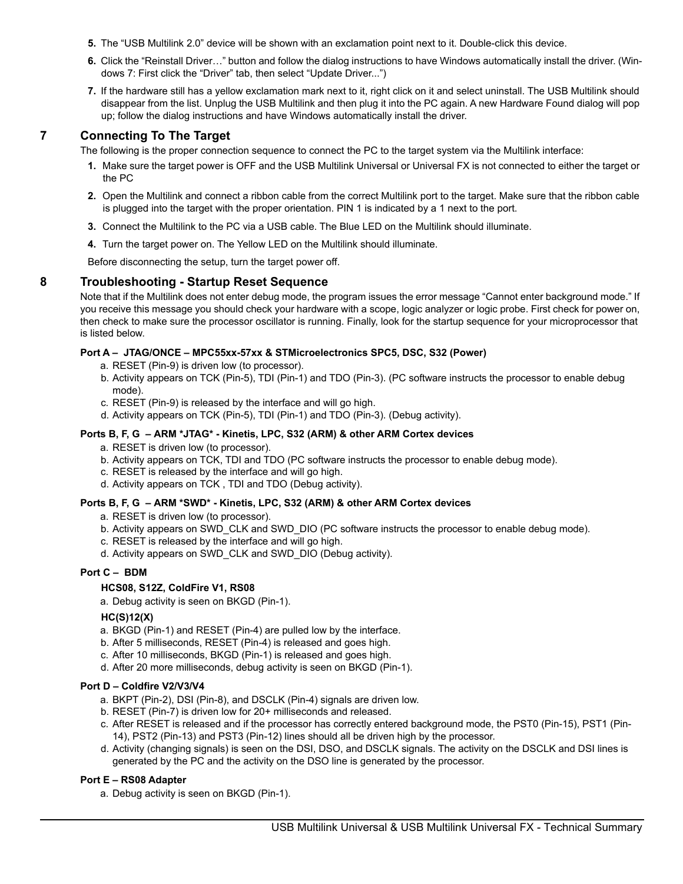- **5.** The "USB Multilink 2.0" device will be shown with an exclamation point next to it. Double-click this device.
- **6.** Click the "Reinstall Driver…" button and follow the dialog instructions to have Windows automatically install the driver. (Windows 7: First click the "Driver" tab, then select "Update Driver...")
- **7.** If the hardware still has a yellow exclamation mark next to it, right click on it and select uninstall. The USB Multilink should disappear from the list. Unplug the USB Multilink and then plug it into the PC again. A new Hardware Found dialog will pop up; follow the dialog instructions and have Windows automatically install the driver.

# **7 Connecting To The Target**

The following is the proper connection sequence to connect the PC to the target system via the Multilink interface:

- **1.** Make sure the target power is OFF and the USB Multilink Universal or Universal FX is not connected to either the target or the PC
- **2.** Open the Multilink and connect a ribbon cable from the correct Multilink port to the target. Make sure that the ribbon cable is plugged into the target with the proper orientation. PIN 1 is indicated by a 1 next to the port.
- **3.** Connect the Multilink to the PC via a USB cable. The Blue LED on the Multilink should illuminate.
- **4.** Turn the target power on. The Yellow LED on the Multilink should illuminate.

Before disconnecting the setup, turn the target power off.

# **8 Troubleshooting - Startup Reset Sequence**

Note that if the Multilink does not enter debug mode, the program issues the error message "Cannot enter background mode." If you receive this message you should check your hardware with a scope, logic analyzer or logic probe. First check for power on, then check to make sure the processor oscillator is running. Finally, look for the startup sequence for your microprocessor that is listed below.

#### **Port A – JTAG/ONCE – MPC55xx-57xx & STMicroelectronics SPC5, DSC, S32 (Power)**

- a. RESET (Pin-9) is driven low (to processor).
- b. Activity appears on TCK (Pin-5), TDI (Pin-1) and TDO (Pin-3). (PC software instructs the processor to enable debug mode).
- c. RESET (Pin-9) is released by the interface and will go high.
- d. Activity appears on TCK (Pin-5), TDI (Pin-1) and TDO (Pin-3). (Debug activity).

#### **Ports B, F, G – ARM \*JTAG\* - Kinetis, LPC, S32 (ARM) & other ARM Cortex devices**

- a. RESET is driven low (to processor).
- b. Activity appears on TCK, TDI and TDO (PC software instructs the processor to enable debug mode).
- c. RESET is released by the interface and will go high.
- d. Activity appears on TCK , TDI and TDO (Debug activity).

#### **Ports B, F, G – ARM \*SWD\* - Kinetis, LPC, S32 (ARM) & other ARM Cortex devices**

- a. RESET is driven low (to processor).
- b. Activity appears on SWD\_CLK and SWD\_DIO (PC software instructs the processor to enable debug mode).
- c. RESET is released by the interface and will go high.
- d. Activity appears on SWD\_CLK and SWD\_DIO (Debug activity).

#### **Port C – BDM**

#### **HCS08, S12Z, ColdFire V1, RS08**

a. Debug activity is seen on BKGD (Pin-1).

#### **HC(S)12(X)**

- a. BKGD (Pin-1) and RESET (Pin-4) are pulled low by the interface.
- b. After 5 milliseconds, RESET (Pin-4) is released and goes high.
- c. After 10 milliseconds, BKGD (Pin-1) is released and goes high.
- d. After 20 more milliseconds, debug activity is seen on BKGD (Pin-1).

#### **Port D – Coldfire V2/V3/V4**

- a. BKPT (Pin-2), DSI (Pin-8), and DSCLK (Pin-4) signals are driven low.
- b. RESET (Pin-7) is driven low for 20+ milliseconds and released.
- c. After RESET is released and if the processor has correctly entered background mode, the PST0 (Pin-15), PST1 (Pin-14), PST2 (Pin-13) and PST3 (Pin-12) lines should all be driven high by the processor.
- d. Activity (changing signals) is seen on the DSI, DSO, and DSCLK signals. The activity on the DSCLK and DSI lines is generated by the PC and the activity on the DSO line is generated by the processor.

#### **Port E – RS08 Adapter**

a. Debug activity is seen on BKGD (Pin-1).